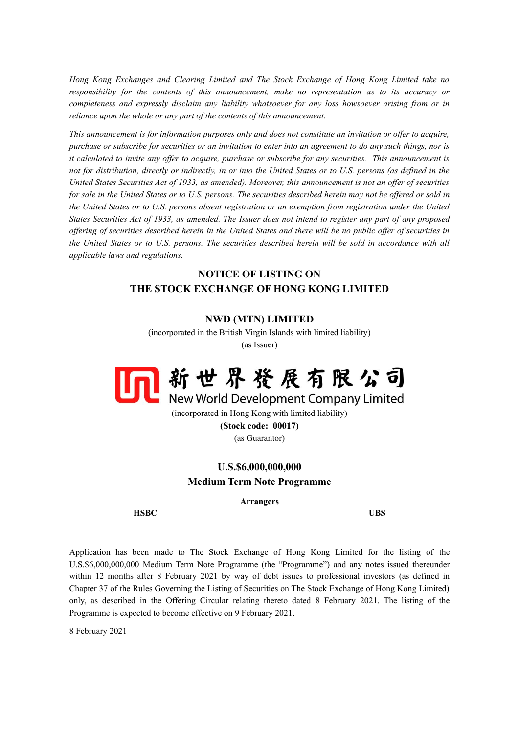*Hong Kong Exchanges and Clearing Limited and The Stock Exchange of Hong Kong Limited take no responsibility for the contents of this announcement, make no representation as to its accuracy or completeness and expressly disclaim any liability whatsoever for any loss howsoever arising from or in reliance upon the whole or any part of the contents of this announcement.*

*This announcement is for information purposes only and does not constitute an invitation or offer to acquire, purchase or subscribe for securities or an invitation to enter into an agreement to do any such things, nor is it calculated to invite any offer to acquire, purchase or subscribe for any securities. This announcement is*  not for distribution, directly or indirectly, in or into the United States or to U.S. persons (as defined in the *United States Securities Act of 1933, as amended). Moreover, this announcement is not an offer of securities for sale in the United States or to U.S. persons. The securities described herein may not be offered or sold in the United States or to U.S. persons absent registration or an exemption from registration under the United States Securities Act of 1933, as amended. The Issuer does not intend to register any part of any proposed offering of securities described herein in the United States and there will be no public offer of securities in the United States or to U.S. persons. The securities described herein will be sold in accordance with all applicable laws and regulations.*

## **NOTICE OF LISTING ON THE STOCK EXCHANGE OF HONG KONG LIMITED**

## **NWD (MTN) LIMITED**

(incorporated in the British Virgin Islands with limited liability) (as Issuer)



(incorporated in Hong Kong with limited liability) **(Stock code: 00017)** (as Guarantor)

## **U.S.\$6,000,000,000 Medium Term Note Programme**

## **Arrangers**

**HSBC UBS**

Application has been made to The Stock Exchange of Hong Kong Limited for the listing of the U.S.\$6,000,000,000 Medium Term Note Programme (the "Programme") and any notes issued thereunder within 12 months after 8 February 2021 by way of debt issues to professional investors (as defined in Chapter 37 of the Rules Governing the Listing of Securities on The Stock Exchange of Hong Kong Limited) only, as described in the Offering Circular relating thereto dated 8 February 2021. The listing of the Programme is expected to become effective on 9 February 2021.

8 February 2021